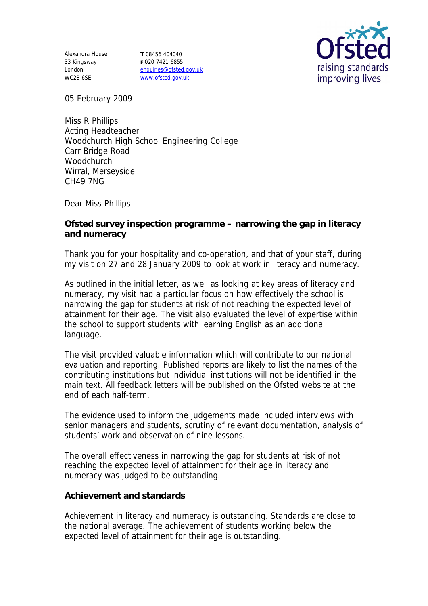Alexandra House 33 Kingsway London WC2B 6SE

**T** 08456 404040 **F** 020 7421 6855 enquiries@ofsted.gov.uk www.ofsted.gov.uk



05 February 2009

Miss R Phillips Acting Headteacher Woodchurch High School Engineering College Carr Bridge Road **Woodchurch** Wirral, Merseyside CH49 7NG

Dear Miss Phillips

**Ofsted survey inspection programme – narrowing the gap in literacy and numeracy**

Thank you for your hospitality and co-operation, and that of your staff, during my visit on 27 and 28 January 2009 to look at work in literacy and numeracy.

As outlined in the initial letter, as well as looking at key areas of literacy and numeracy, my visit had a particular focus on how effectively the school is narrowing the gap for students at risk of not reaching the expected level of attainment for their age. The visit also evaluated the level of expertise within the school to support students with learning English as an additional language.

The visit provided valuable information which will contribute to our national evaluation and reporting. Published reports are likely to list the names of the contributing institutions but individual institutions will not be identified in the main text. All feedback letters will be published on the Ofsted website at the end of each half-term.

The evidence used to inform the judgements made included interviews with senior managers and students, scrutiny of relevant documentation, analysis of students' work and observation of nine lessons.

The overall effectiveness in narrowing the gap for students at risk of not reaching the expected level of attainment for their age in literacy and numeracy was judged to be outstanding.

## **Achievement and standards**

Achievement in literacy and numeracy is outstanding. Standards are close to the national average. The achievement of students working below the expected level of attainment for their age is outstanding.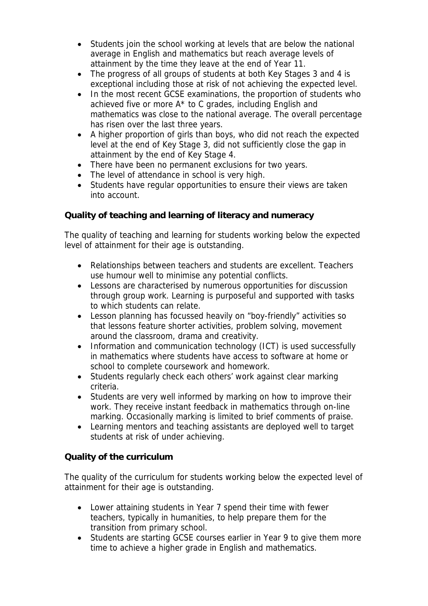- Students join the school working at levels that are below the national average in English and mathematics but reach average levels of attainment by the time they leave at the end of Year 11.
- The progress of all groups of students at both Key Stages 3 and 4 is exceptional including those at risk of not achieving the expected level.
- In the most recent GCSE examinations, the proportion of students who achieved five or more A\* to C grades, including English and mathematics was close to the national average. The overall percentage has risen over the last three years.
- A higher proportion of girls than boys, who did not reach the expected level at the end of Key Stage 3, did not sufficiently close the gap in attainment by the end of Key Stage 4.
- There have been no permanent exclusions for two years.
- The level of attendance in school is very high.
- Students have regular opportunities to ensure their views are taken into account.

**Quality of teaching and learning of literacy and numeracy**

The quality of teaching and learning for students working below the expected level of attainment for their age is outstanding.

- Relationships between teachers and students are excellent. Teachers use humour well to minimise any potential conflicts.
- Lessons are characterised by numerous opportunities for discussion through group work. Learning is purposeful and supported with tasks to which students can relate.
- Lesson planning has focussed heavily on "boy-friendly" activities so that lessons feature shorter activities, problem solving, movement around the classroom, drama and creativity.
- Information and communication technology (ICT) is used successfully in mathematics where students have access to software at home or school to complete coursework and homework.
- Students regularly check each others' work against clear marking criteria.
- Students are very well informed by marking on how to improve their work. They receive instant feedback in mathematics through on-line marking. Occasionally marking is limited to brief comments of praise.
- Learning mentors and teaching assistants are deployed well to target students at risk of under achieving.

**Quality of the curriculum**

The quality of the curriculum for students working below the expected level of attainment for their age is outstanding.

- Lower attaining students in Year 7 spend their time with fewer teachers, typically in humanities, to help prepare them for the transition from primary school.
- Students are starting GCSE courses earlier in Year 9 to give them more time to achieve a higher grade in English and mathematics.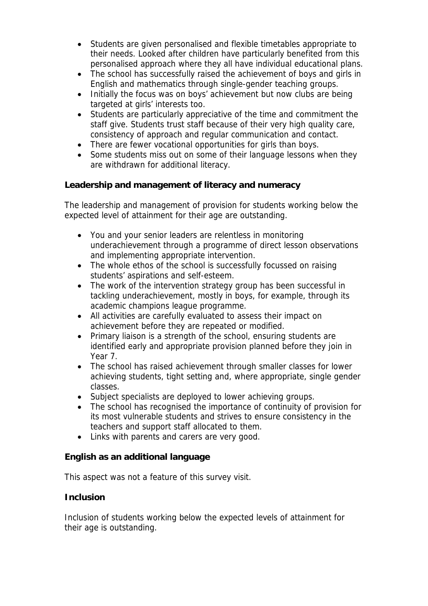- Students are given personalised and flexible timetables appropriate to their needs. Looked after children have particularly benefited from this personalised approach where they all have individual educational plans.
- The school has successfully raised the achievement of boys and girls in English and mathematics through single-gender teaching groups.
- Initially the focus was on boys' achievement but now clubs are being targeted at girls' interests too.
- Students are particularly appreciative of the time and commitment the staff give. Students trust staff because of their very high quality care, consistency of approach and regular communication and contact.
- There are fewer vocational opportunities for girls than boys.
- Some students miss out on some of their language lessons when they are withdrawn for additional literacy.

**Leadership and management of literacy and numeracy** 

The leadership and management of provision for students working below the expected level of attainment for their age are outstanding.

- You and your senior leaders are relentless in monitoring underachievement through a programme of direct lesson observations and implementing appropriate intervention.
- The whole ethos of the school is successfully focussed on raising students' aspirations and self-esteem.
- The work of the intervention strategy group has been successful in tackling underachievement, mostly in boys, for example, through its academic champions league programme.
- All activities are carefully evaluated to assess their impact on achievement before they are repeated or modified.
- Primary liaison is a strength of the school, ensuring students are identified early and appropriate provision planned before they join in Year 7.
- The school has raised achievement through smaller classes for lower achieving students, tight setting and, where appropriate, single gender classes.
- Subject specialists are deployed to lower achieving groups.
- The school has recognised the importance of continuity of provision for its most vulnerable students and strives to ensure consistency in the teachers and support staff allocated to them.
- Links with parents and carers are very good.

**English as an additional language**

This aspect was not a feature of this survey visit.

## **Inclusion**

Inclusion of students working below the expected levels of attainment for their age is outstanding.